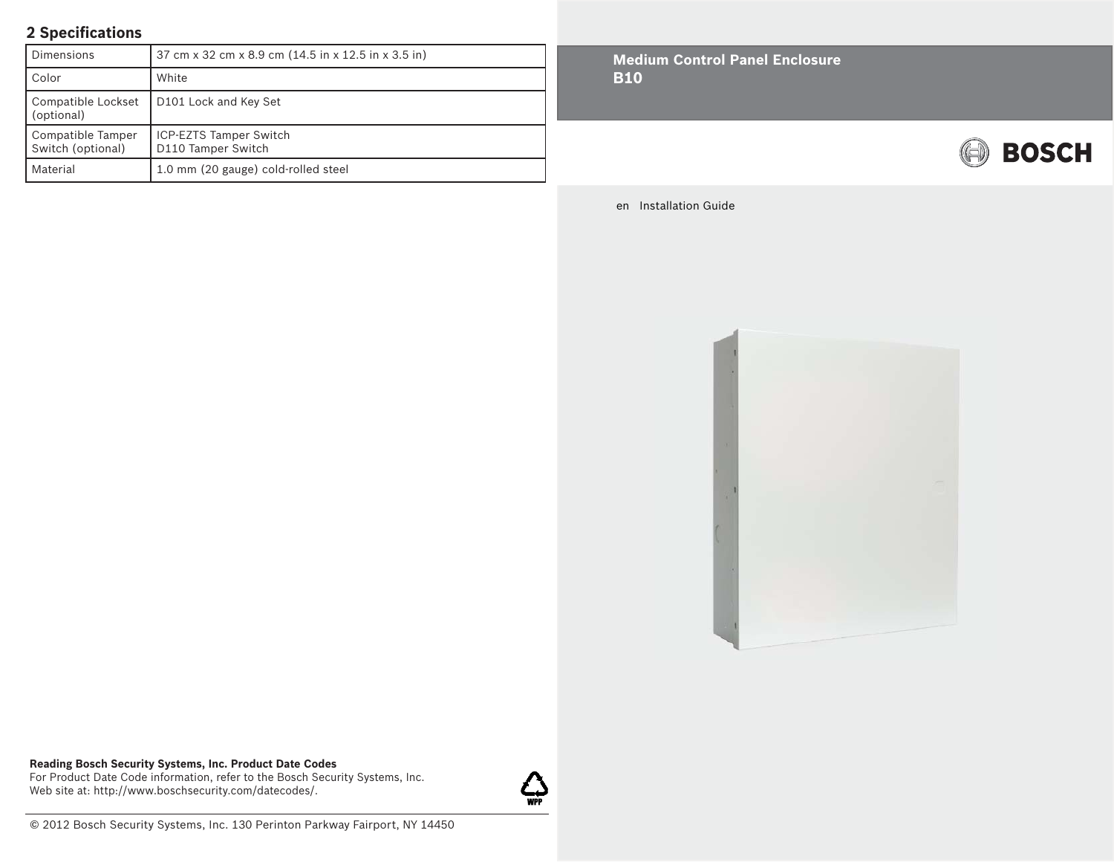## **2 Specifi cations**

| Dimensions                             | 37 cm x 32 cm x 8.9 cm (14.5 in x 12.5 in x 3.5 in) |
|----------------------------------------|-----------------------------------------------------|
| Color                                  | White                                               |
| Compatible Lockset<br>(optional)       | D <sub>101</sub> Lock and Key Set                   |
| Compatible Tamper<br>Switch (optional) | <b>ICP-EZTS Tamper Switch</b><br>D110 Tamper Switch |
| Material                               | 1.0 mm (20 gauge) cold-rolled steel                 |

**Medium Control Panel Enclosure B10**



en Installation Guide



**Reading Bosch Security Systems, Inc. Product Date Codes** For Product Date Code information, refer to the Bosch Security Systems, Inc. Web site at: http://www.boschsecurity.com/datecodes/.